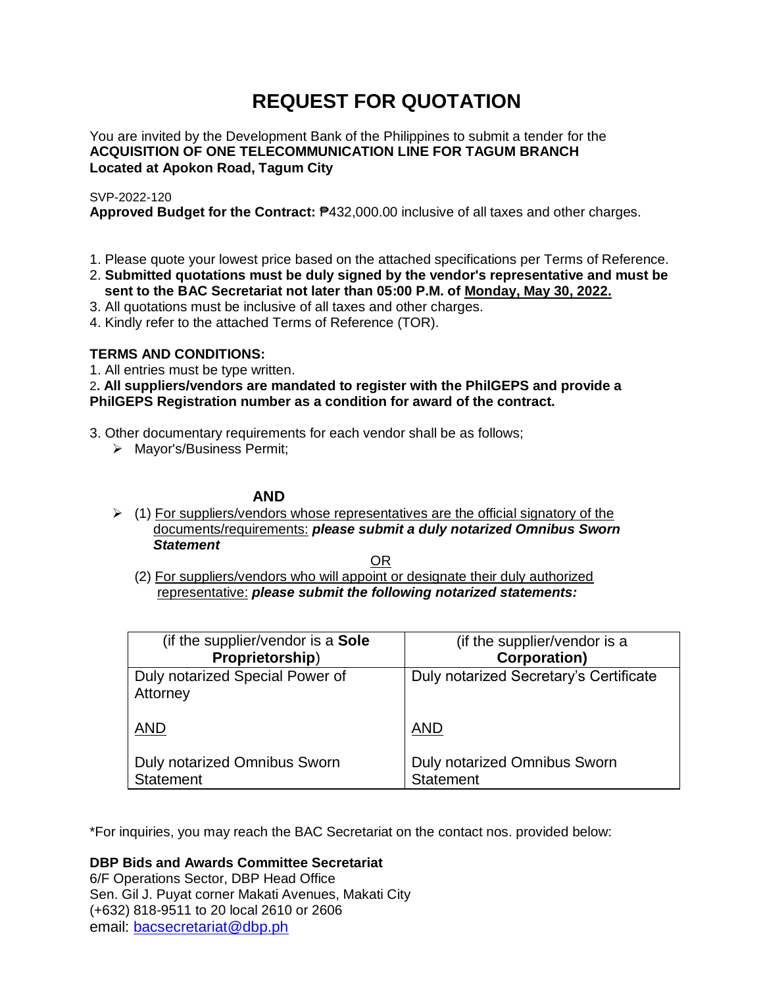# **REQUEST FOR QUOTATION**

You are invited by the Development Bank of the Philippines to submit a tender for the **ACQUISITION OF ONE TELECOMMUNICATION LINE FOR TAGUM BRANCH Located at Apokon Road, Tagum City**

## SVP-2022-120

**Approved Budget for the Contract:** ₱432,000.00 inclusive of all taxes and other charges.

- 1. Please quote your lowest price based on the attached specifications per Terms of Reference.
- 2. **Submitted quotations must be duly signed by the vendor's representative and must be sent to the BAC Secretariat not later than 05:00 P.M. of Monday, May 30, 2022.**
- 3. All quotations must be inclusive of all taxes and other charges.
- 4. Kindly refer to the attached Terms of Reference (TOR).

## **TERMS AND CONDITIONS:**

1. All entries must be type written.

2**. All suppliers/vendors are mandated to register with the PhilGEPS and provide a PhilGEPS Registration number as a condition for award of the contract.**

- 3. Other documentary requirements for each vendor shall be as follows;
	- > Mayor's/Business Permit;

# **AND**

 $\geq$  (1) For suppliers/vendors whose representatives are the official signatory of the documents/requirements: *please submit a duly notarized Omnibus Sworn Statement*

<u>OR Starting and the Starting OR Starting</u>

(2) For suppliers/vendors who will appoint or designate their duly authorized representative: *please submit the following notarized statements:*

| (if the supplier/vendor is a Sole                | (if the supplier/vendor is a                     |
|--------------------------------------------------|--------------------------------------------------|
| Proprietorship)                                  | <b>Corporation)</b>                              |
| Duly notarized Special Power of<br>Attorney      | Duly notarized Secretary's Certificate           |
| <b>AND</b>                                       | <b>AND</b>                                       |
| Duly notarized Omnibus Sworn<br><b>Statement</b> | Duly notarized Omnibus Sworn<br><b>Statement</b> |

\*For inquiries, you may reach the BAC Secretariat on the contact nos. provided below:

**DBP Bids and Awards Committee Secretariat** 

6/F Operations Sector, DBP Head Office Sen. Gil J. Puyat corner Makati Avenues, Makati City (+632) 818-9511 to 20 local 2610 or 2606 email: [bacsecretariat@dbp.ph](mailto:bacsecretariat@dbp.ph)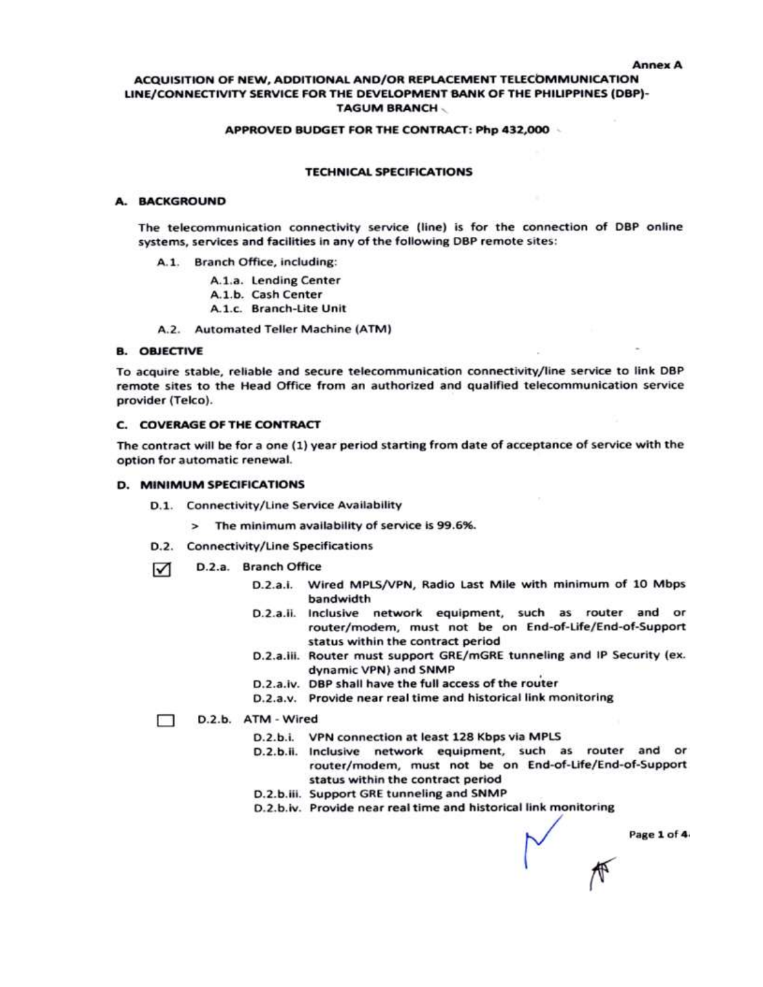## ACQUISITION OF NEW, ADDITIONAL AND/OR REPLACEMENT TELECOMMUNICATION LINE/CONNECTIVITY SERVICE FOR THE DEVELOPMENT BANK OF THE PHILIPPINES (DBP)-**TAGUM BRANCH**

#### APPROVED BUDGET FOR THE CONTRACT: Php 432,000

#### **TECHNICAL SPECIFICATIONS**

### A. BACKGROUND

The telecommunication connectivity service (line) is for the connection of DBP online systems, services and facilities in any of the following DBP remote sites:

- A.1. Branch Office, including:
	- A.1.a. Lending Center
	- A.1.b. Cash Center
	- A.1.c. Branch-Lite Unit
- A.2. Automated Teller Machine (ATM)

## **B. OBJECTIVE**

To acquire stable, reliable and secure telecommunication connectivity/line service to link DBP remote sites to the Head Office from an authorized and qualified telecommunication service provider (Telco).

## **C. COVERAGE OF THE CONTRACT**

The contract will be for a one (1) year period starting from date of acceptance of service with the option for automatic renewal.

#### D. MINIMUM SPECIFICATIONS

- D.1. Connectivity/Line Service Availability
	- > The minimum availability of service is 99.6%.
- D.2. Connectivity/Line Specifications
- D.2.a. Branch Office 罓
	- D.2.a.i. Wired MPLS/VPN, Radio Last Mile with minimum of 10 Mbps bandwidth
	- D.2.a.ii. Inclusive network equipment, such as router and or router/modem, must not be on End-of-Life/End-of-Support status within the contract period
	- D.2.a.iii. Router must support GRE/mGRE tunneling and IP Security (ex. dynamic VPN) and SNMP
	- D.2.a.iv. DBP shall have the full access of the router
	- D.2.a.v. Provide near real time and historical link monitoring

D.2.b. ATM - Wired

- D.2.b.i. VPN connection at least 128 Kbps via MPLS
- D.2.b.ii. Inclusive network equipment, such as router and or router/modem, must not be on End-of-Life/End-of-Support status within the contract period
- D.2.b.iii. Support GRE tunneling and SNMP
- D.2.b.iv. Provide near real time and historical link monitoring

Page 1 of 4.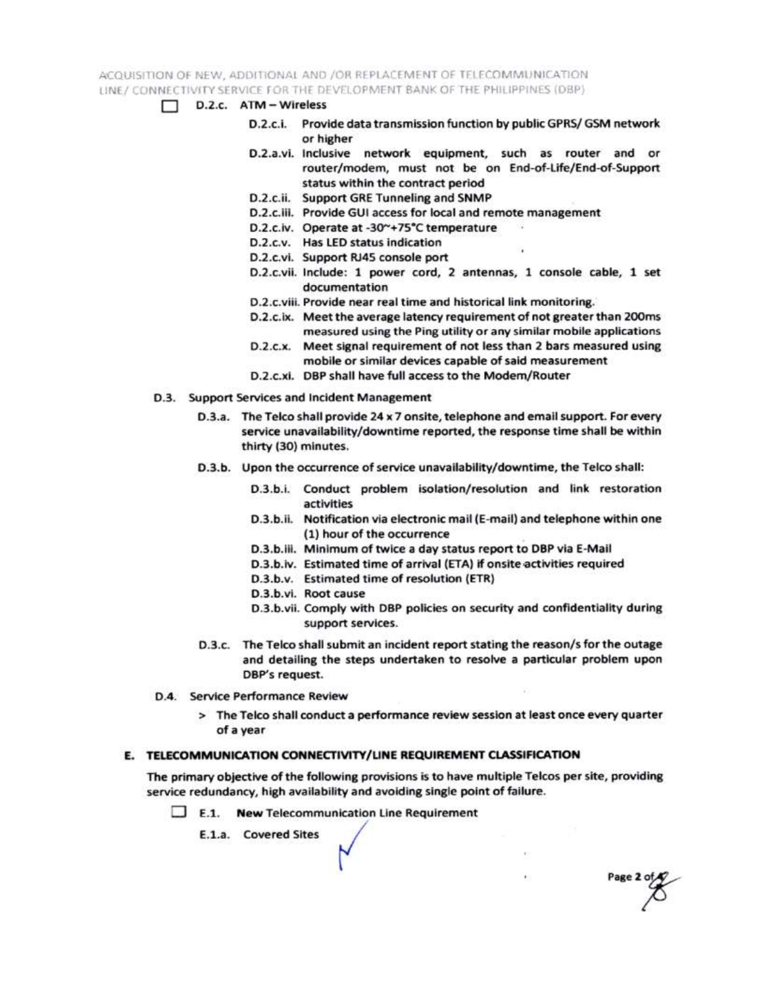ACQUISITION OF NEW, ADDITIONAL AND /OR REPLACEMENT OF TELECOMMUNICATION LINE / CONNECTIVITY SERVICE FOR THE DEVELOPMENT BANK OF THE PHILIPPINES (DBP)

- $\Box$  D.2.c.  $ATM Wireless$ 
	- D.2.c.i. Provide data transmission function by public GPRS/ GSM network or higher
	- D.2.a.vi. Inclusive network equipment, such as router and or router/modem, must not be on End-of-Life/End-of-Support status within the contract period
	- D.2.c.ii. Support GRE Tunneling and SNMP
	- D.2.c.iii. Provide GUI access for local and remote management
	- D.2.c.iv. Operate at -30~+75°C temperature
	- D.2.c.v. Has LED status indication
	- D.2.c.vi. Support RJ45 console port
	- D.2.c.vii. Include: 1 power cord, 2 antennas, 1 console cable, 1 set documentation
	- D.2.c.viii. Provide near real time and historical link monitoring.
	- D.2.c.ix. Meet the average latency requirement of not greater than 200ms measured using the Ping utility or any similar mobile applications
	- D.2.c.x. Meet signal requirement of not less than 2 bars measured using mobile or similar devices capable of said measurement
	- D.2.c.xi. DBP shall have full access to the Modem/Router
- D.3. Support Services and Incident Management
	- D.3.a. The Telco shall provide 24 x 7 onsite, telephone and email support. For every service unavailability/downtime reported, the response time shall be within thirty (30) minutes.
	- D.3.b. Upon the occurrence of service unavailability/downtime, the Telco shall:
		- D.3.b.i. Conduct problem isolation/resolution and link restoration activities
		- D.3.b.ii. Notification via electronic mail (E-mail) and telephone within one (1) hour of the occurrence
		- D.3.b.iii. Minimum of twice a day status report to DBP via E-Mail
		- D.3.b.iv. Estimated time of arrival (ETA) if onsite activities required
		- D.3.b.v. Estimated time of resolution (ETR)
		- D.3.b.vi. Root cause
		- D.3.b.vii. Comply with DBP policies on security and confidentiality during support services.

Page 2 of

- D.3.c. The Telco shall submit an incident report stating the reason/s for the outage and detailing the steps undertaken to resolve a particular problem upon DBP's request.
- D.4. Service Performance Review
	- > The Telco shall conduct a performance review session at least once every quarter of a year

## E. TELECOMMUNICATION CONNECTIVITY/LINE REQUIREMENT CLASSIFICATION

The primary objective of the following provisions is to have multiple Telcos per site, providing service redundancy, high availability and avoiding single point of failure.

 $\Box$  E.1. New Telecommunication Line Requirement

E.1.a. Covered Sites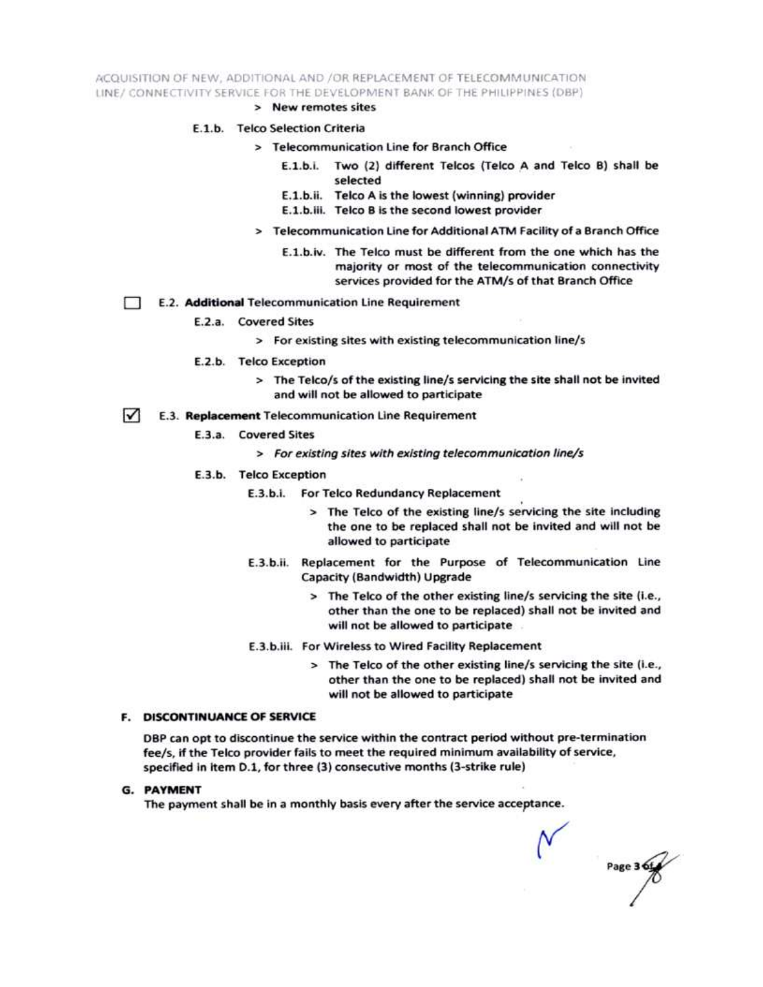ACQUISITION OF NEW, ADDITIONAL AND /OR REPLACEMENT OF TELECOMMUNICATION LINE/ CONNECTIVITY SERVICE FOR THE DEVELOPMENT BANK OF THE PHILIPPINES (DBP)

> New remotes sites

#### E.1.b. Telco Selection Criteria

- > Telecommunication Line for Branch Office
	- E.1.b.i. Two (2) different Telcos (Telco A and Telco B) shall be selected
	- E.1.b.ii. Telco A is the lowest (winning) provider
	- E.1.b.iii. Telco B is the second lowest provider
- > Telecommunication Line for Additional ATM Facility of a Branch Office
	- E.1.b.iv. The Telco must be different from the one which has the majority or most of the telecommunication connectivity services provided for the ATM/s of that Branch Office
- E.2. Additional Telecommunication Line Requirement Ð
	- E.2.a. Covered Sites
		- > For existing sites with existing telecommunication line/s
	- E.2.b. Telco Exception
		- > The Telco/s of the existing line/s servicing the site shall not be invited and will not be allowed to participate
- $\sqrt{ }$ E.3. Replacement Telecommunication Line Requirement
	- E.3.a. Covered Sites
		- > For existing sites with existing telecommunication line/s
	- E.3.b. Telco Exception
		- E.3.b.i. For Telco Redundancy Replacement
			- > The Telco of the existing line/s servicing the site including the one to be replaced shall not be invited and will not be allowed to participate
		- E.3.b.ii. Replacement for the Purpose of Telecommunication Line Capacity (Bandwidth) Upgrade
			- > The Telco of the other existing line/s servicing the site (i.e., other than the one to be replaced) shall not be invited and will not be allowed to participate
		- E.3.b.iii. For Wireless to Wired Facility Replacement
			- > The Telco of the other existing line/s servicing the site (i.e., other than the one to be replaced) shall not be invited and will not be allowed to participate

#### **F. DISCONTINUANCE OF SERVICE**

DBP can opt to discontinue the service within the contract period without pre-termination fee/s, if the Telco provider fails to meet the required minimum availability of service, specified in item D.1, for three (3) consecutive months (3-strike rule)

**G. PAYMENT** 

The payment shall be in a monthly basis every after the service acceptance.

Page 3 6t